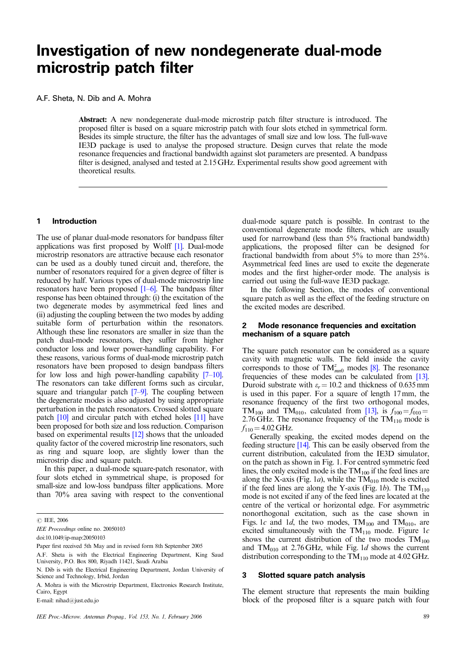# **Investigation of new nondegenerate dual-mode microstrip patch filter**

A.F. Sheta, N. Dib and A. Mohra

Abstract: A new nondegenerate dual-mode microstrip patch filter structure is introduced. The proposed filter is based on a square microstrip patch with four slots etched in symmetrical form. Besides its simple structure, the filter has the advantages of small size and low loss. The full-wave IE3D package is used to analyse the proposed structure. Design curves that relate the mode resonance frequencies and fractional bandwidth against slot parameters are presented. A bandpass filter is designed, analysed and tested at 2.15 GHz. Experimental results show good agreement with theoretical results.

#### **1 Introduction**

The use of planar dual-mode resonators for bandpass filter applications was first proposed by Wolff [1]. Dual-mode microstrip resonators are attractive because each resonator can be used as a doubly tuned circuit and, therefore, the number of resonators required for a given degree of filter is reduced by half. Various types of dual-mode microstrip line resonators have been proposed [1–6]. The bandpass filter response has been obtained through: (i) the excitation of the two degenerate modes by asymmetrical feed lines and (ii) adjusting the coupling between the two modes by adding suitable form of perturbation within the resonators. Although these line resonators are smaller in size than the patch dual-mode resonators, they suffer from higher conductor loss and lower power-handling capability. For these reasons, various forms of dual-mode microstrip patch resonators have been proposed to design bandpass filters for low loss and high power-handling capability [7–10]. The resonators can take different forms such as circular, square and triangular patch [7–9]. The coupling between the degenerate modes is also adjusted by using appropriate perturbation in the patch resonators. Crossed slotted square patch [10] and circular patch with etched holes [11] have been proposed for both size and loss reduction. Comparison based on experimental results [12] shows that the unloaded quality factor of the covered microstrip line resonators, such as ring and square loop, are slightly lower than the microstrip disc and square patch.

In this paper, a dual-mode square-patch resonator, with four slots etched in symmetrical shape, is proposed for small-size and low-loss bandpass filter applications. More than 70% area saving with respect to the conventional

IEE Proceedings online no. 20050103

doi:10.1049/ip-map:20050103

E-mail: nihad@just.edu.jo

dual-mode square patch is possible. In contrast to the conventional degenerate mode filters, which are usually used for narrowband (less than 5% fractional bandwidth) applications, the proposed filter can be designed for fractional bandwidth from about 5% to more than 25%. Asymmetrical feed lines are used to excite the degenerate modes and the first higher-order mode. The analysis is carried out using the full-wave IE3D package.

In the following Section, the modes of conventional square patch as well as the effect of the feeding structure on the excited modes are described.

## **2 Mode resonance frequencies and excitation mechanism of a square patch**

The square patch resonator can be considered as a square cavity with magnetic walls. The field inside the cavity corresponds to those of  $TM^z_{mn0}$  modes [8]. The resonance frequencies of these modes can be calculated from [13]. Duroid substrate with  $\varepsilon_r = 10.2$  and thickness of 0.635 mm is used in this paper. For a square of length 17 mm, the resonance frequency of the first two orthogonal modes, TM<sub>100</sub> and TM<sub>010</sub>, calculated from [13], is  $f_{100} = f_{010}$ 2.76 GHz. The resonance frequency of the  $TM_{110}$  mode is  $f_{110} = 4.02$  GHz.

Generally speaking, the excited modes depend on the feeding structure [14]. This can be easily observed from the current distribution, calculated from the IE3D simulator, on the patch as shown in Fig. 1. For centred symmetric feed lines, the only excited mode is the  $TM_{100}$  if the feed lines are along the X-axis (Fig. 1*a*), while the  $TM<sub>010</sub>$  mode is excited if the feed lines are along the Y-axis (Fig. 1b). The  $TM_{110}$ mode is not excited if any of the feed lines are located at the centre of the vertical or horizontal edge. For asymmetric nonorthogonal excitation, such as the case shown in Figs. 1c and 1d, the two modes,  $TM_{100}$  and  $TM_{010}$ , are excited simultaneously with the  $TM_{110}$  mode. Figure 1c shows the current distribution of the two modes  $TM_{100}$ and  $TM<sub>010</sub>$  at 2.76 GHz, while Fig. 1d shows the current distribution corresponding to the  $TM_{110}$  mode at 4.02 GHz.

#### **3 Slotted square patch analysis**

The element structure that represents the main building block of the proposed filter is a square patch with four

<sup>©</sup> IEE, 2006

Paper first received 5th May and in revised form 8th September 2005

A.F. Sheta is with the Electrical Engineering Department, King Saud University, P.O. Box 800, Riyadh 11421, Saudi Arabia

N. Dib is with the Electrical Engineering Department, Jordan University of Science and Technology, Irbid, Jordan

A. Mohra is with the Microstrip Department, Electronics Research Institute, Cairo, Egypt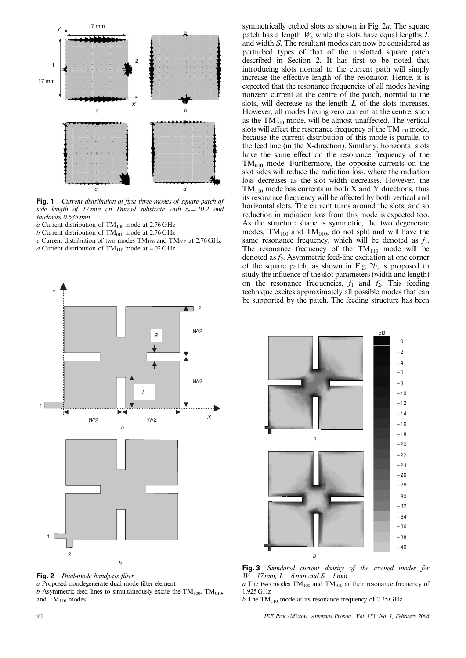

**Fig. 1** Current distribution of first three modes of square patch of side length of 17 mm on Duroid substrate with  $\varepsilon_r = 10.2$  and thickness 0.635 mm

- a Current distribution of  $TM_{100}$  mode at 2.76 GHz
- $b$  Current distribution of TM<sub>010</sub> mode at 2.76 GHz
- $c$  Current distribution of two modes TM<sub>100</sub> and TM<sub>010</sub> at 2.76 GHz
- d Current distribution of  $TM_{110}$  mode at 4.02 GHz



**Fig. 2** Dual-mode bandpass filter a Proposed nondegenerate dual-mode filter element b Asymmetric feed lines to simultaneously excite the  $TM_{100}$ ,  $TM_{010}$ , and  $TM_{110}$  modes

symmetrically etched slots as shown in Fig. 2a. The square patch has a length  $W$ , while the slots have equal lengths  $L$ and width S. The resultant modes can now be considered as perturbed types of that of the unslotted square patch described in Section 2. It has first to be noted that introducing slots normal to the current path will simply increase the effective length of the resonator. Hence, it is expected that the resonance frequencies of all modes having nonzero current at the centre of the patch, normal to the slots, will decrease as the length L of the slots increases. However, all modes having zero current at the centre, such as the  $TM_{200}$  mode, will be almost unaffected. The vertical slots will affect the resonance frequency of the  $TM_{100}$  mode, because the current distribution of this mode is parallel to the feed line (in the X-direction). Similarly, horizontal slots have the same effect on the resonance frequency of the  $TM<sub>010</sub>$  mode. Furthermore, the opposite currents on the slot sides will reduce the radiation loss, where the radiation loss decreases as the slot width decreases. However, the  $TM_{110}$  mode has currents in both X and Y directions, thus its resonance frequency will be affected by both vertical and horizontal slots. The current turns around the slots, and so reduction in radiation loss from this mode is expected too. As the structure shape is symmetric, the two degenerate modes,  $TM_{100}$  and  $TM_{010}$ , do not split and will have the same resonance frequency, which will be denoted as  $f_1$ . The resonance frequency of the  $TM_{110}$  mode will be denoted as  $f_2$ . Asymmetric feed-line excitation at one corner of the square patch, as shown in Fig.  $2b$ , is proposed to study the influence of the slot parameters (width and length) on the resonance frequencies,  $f_1$  and  $f_2$ . This feeding technique excites approximately all possible modes that can be supported by the patch. The feeding structure has been



**Fig. 3** Simulated current density of the excited modes for  $W = 17$  mm,  $L = 6$  mm and  $S = 1$  mm

 $a$  The two modes TM<sub>100</sub> and TM<sub>010</sub> at their resonance frequency of 1.925GHz

b The TM<sub>110</sub> mode at its resonance frequency of 2.25 GHz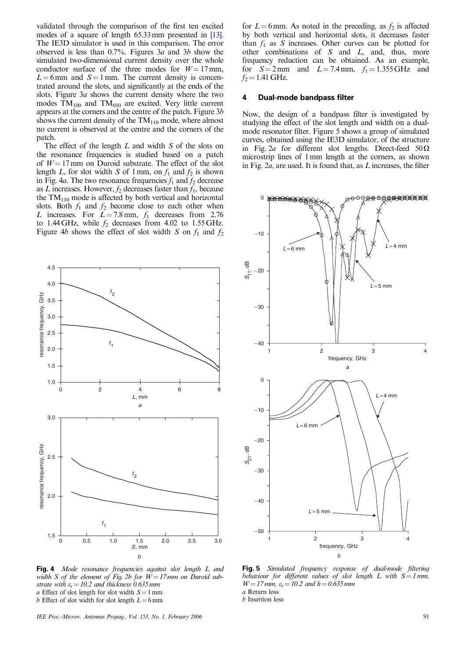validated through the comparison of the first ten excited modes of a square of length 65.33 mm presented in [13]. The IE3D simulator is used in this comparison. The error observed is less than  $0.7\%$ . Figures 3*a* and 3*b* show the simulated two-dimensional current density over the whole conductor surface of the three modes for  $W = 17$  mm,  $L = 6$  mm and  $S = 1$  mm. The current density is concentrated around the slots, and significantly at the ends of the slots. Figure 3a shows the current density where the two modes  $TM_{100}$  and  $TM_{010}$  are excited. Very little current appears at the corners and the centre of the patch. Figure 3b shows the current density of the  $TM_{110}$  mode, where almost no current is observed at the centre and the corners of the patch.

The effect of the length  $L$  and width  $S$  of the slots on the resonance frequencies is studied based on a patch of  $W = 17$  mm on Duroid substrate. The effect of the slot length L, for slot width S of 1 mm, on  $f_1$  and  $f_2$  is shown in Fig. 4a. The two resonance frequencies  $f_1$  and  $f_2$  decrease as L increases. However,  $f_2$  decreases faster than  $f_1$ , because the  $TM_{110}$  mode is affected by both vertical and horizontal slots. Both  $f_1$  and  $f_2$  become close to each other when L increases. For  $L = 7.8$  mm,  $f_1$  decreases from 2.76 to 1.44 GHz, while  $f_2$  decreases from 4.02 to 1.55 GHz. Figure 4b shows the effect of slot width S on  $f_1$  and  $f_2$ 



for  $L = 6$  mm. As noted in the preceding, as  $f_2$  is affected by both vertical and horizontal slots, it decreases faster than  $f_1$  as S increases. Other curves can be plotted for other combinations of  $S$  and  $L$ , and, thus, more frequency reduction can be obtained. As an example, for  $S=2$  mm and  $L=7.4$  mm,  $f_1 = 1.355$  GHz and  $f_2$  = 1.41 GHz.

## **4 Dual-mode bandpass filter**

Now, the design of a bandpass filter is investigated by studying the effect of the slot length and width on a dualmode resonator filter. Figure 5 shows a group of simulated curves, obtained using the IE3D simulator, of the structure in Fig. 2a for different slot lengths. Direct-feed  $50 \Omega$ microstrip lines of 1 mm length at the corners, as shown in Fig.  $2a$ , are used. It is found that, as  $L$  increases, the filter



**Fig. 4** Mode resonance frequencies against slot length L and width S of the element of Fig. 2b for  $W = 17$  mm on Duroid substrate with  $\varepsilon_r = 10.2$  and thickness 0.635 mm a Effect of slot length for slot width  $S = 1$  mm b Effect of slot width for slot length  $L = 6$ mm

IEE Proc.-Microw. Antennas Propag., Vol. 153, No. 1, February 2006 91

**Fig. 5** Simulated frequency response of dual-mode filtering behaviour for different values of slot length  $L$  with  $S = 1$  mm,  $W = 17$  mm,  $\varepsilon_r = 10.2$  and  $h = 0.635$  mm a Return loss

b Insertion loss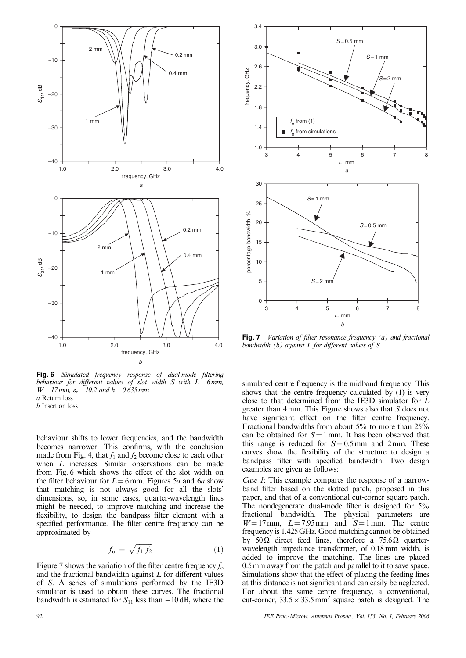

**Fig. 6** Simulated frequency response of dual-mode filtering behaviour for different values of slot width S with  $L = 6$  mm,  $W = 17$  mm,  $\varepsilon_r = 10.2$  and  $h = 0.635$  mm a Return loss

b Insertion loss

behaviour shifts to lower frequencies, and the bandwidth becomes narrower. This confirms, with the conclusion made from Fig. 4, that  $f_1$  and  $f_2$  become close to each other when L increases. Similar observations can be made from Fig. 6 which shows the effect of the slot width on the filter behaviour for  $L = 6$  mm. Figures 5a and 6a show that matching is not always good for all the slots' dimensions, so, in some cases, quarter-wavelength lines might be needed, to improve matching and increase the flexibility, to design the bandpass filter element with a specified performance. The filter centre frequency can be approximated by

$$
f_{\rm o} = \sqrt{f_1 f_2} \tag{1}
$$

Figure 7 shows the variation of the filter centre frequency  $f_0$ and the fractional bandwidth against L for different values of S. A series of simulations performed by the IE3D simulator is used to obtain these curves. The fractional bandwidth is estimated for  $S_{11}$  less than  $-10$  dB, where the



**Fig. 7** Variation of filter resonance frequency (a) and fractional bandwidth  $(b)$  against  $L$  for different values of  $S$ 

simulated centre frequency is the midband frequency. This shows that the centre frequency calculated by (1) is very close to that determined from the IE3D simulator for L greater than 4 mm. This Figure shows also that S does not have significant effect on the filter centre frequency. Fractional bandwidths from about 5% to more than 25% can be obtained for  $S = 1$  mm. It has been observed that this range is reduced for  $S = 0.5$  mm and 2 mm. These curves show the flexibility of the structure to design a bandpass filter with specified bandwidth. Two design examples are given as follows:

Case 1: This example compares the response of a narrowband filter based on the slotted patch, proposed in this paper, and that of a conventional cut-corner square patch. The nondegenerate dual-mode filter is designed for 5% fractional bandwidth. The physical parameters are  $W = 17$  mm,  $L = 7.95$  mm and  $S = 1$  mm. The centre frequency is 1.425 GHz. Good matching cannot be obtained by 50 $\Omega$  direct feed lines, therefore a 75.6 $\Omega$  quarterwavelength impedance transformer, of 0.18 mm width, is added to improve the matching. The lines are placed 0.5 mm away from the patch and parallel to it to save space. Simulations show that the effect of placing the feeding lines at this distance is not significant and can easily be neglected. For about the same centre frequency, a conventional, cut-corner,  $33.5 \times 33.5$  mm<sup>2</sup> square patch is designed. The

92 IEE Proc.-Microw. Antennas Propag., Vol. 153, No. 1, February 2006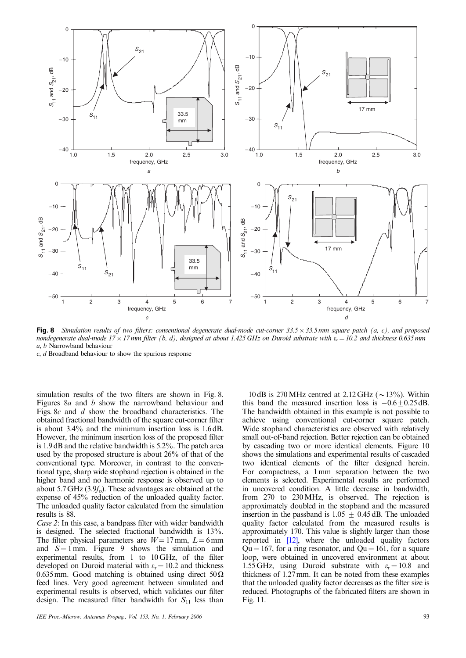

Fig. 8 Simulation results of two filters: conventional degenerate dual-mode cut-corner 33.5 × 33.5 mm square patch (a, c), and proposea nondegenerate dual-mode 17  $\times$  17 mm filter (b, d), designed at about 1.425 GHz on Duroid substrate with  $\epsilon_r$   $=$  10.2 and thickness 0.635 mm a, b Narrowband behaviour

c, d Broadband behaviour to show the spurious response

simulation results of the two filters are shown in Fig. 8. Figures 8a and b show the narrowband behaviour and Figs. 8c and d show the broadband characteristics. The obtained fractional bandwidth of the square cut-corner filter is about 3.4% and the minimum insertion loss is 1.6 dB. However, the minimum insertion loss of the proposed filter is 1.9 dB and the relative bandwidth is 5.2%. The patch area used by the proposed structure is about 26% of that of the conventional type. Moreover, in contrast to the conventional type, sharp wide stopband rejection is obtained in the higher band and no harmonic response is observed up to about 5.7 GHz  $(3.9f<sub>o</sub>)$ . These advantages are obtained at the expense of 45% reduction of the unloaded quality factor. The unloaded quality factor calculated from the simulation results is 88.

Case 2: In this case, a bandpass filter with wider bandwidth is designed. The selected fractional bandwidth is 13%. The filter physical parameters are  $W = 17$  mm,  $L = 6$  mm and  $S = 1$  mm. Figure 9 shows the simulation and experimental results, from 1 to 10 GHz, of the filter developed on Duroid material with  $\varepsilon_r = 10.2$  and thickness 0.635 mm. Good matching is obtained using direct  $50\Omega$ feed lines. Very good agreement between simulated and experimental results is observed, which validates our filter design. The measured filter bandwidth for  $S_{11}$  less than

 $-10$  dB is 270 MHz centred at 2.12 GHz ( $\sim$  13%). Within this band the measured insertion loss is  $-0.6+0.25$  dB. The bandwidth obtained in this example is not possible to achieve using conventional cut-corner square patch. Wide stopband characteristics are observed with relatively small out-of-band rejection. Better rejection can be obtained by cascading two or more identical elements. Figure 10 shows the simulations and experimental results of cascaded two identical elements of the filter designed herein. For compactness, a 1 mm separation between the two elements is selected. Experimental results are performed in uncovered condition. A little decrease in bandwidth, from 270 to 230MHz, is observed. The rejection is approximately doubled in the stopband and the measured insertion in the passband is  $1.05 \pm 0.45$  dB. The unloaded quality factor calculated from the measured results is approximately 170. This value is slightly larger than those reported in [12], where the unloaded quality factors  $Qu = 167$ , for a ring resonator, and  $Qu = 161$ , for a square loop, were obtained in uncovered environment at about 1.55 GHz, using Duroid substrate with  $\varepsilon_r = 10.8$  and thickness of 1.27 mm. It can be noted from these examples that the unloaded quality factor decreases as the filter size is reduced. Photographs of the fabricated filters are shown in Fig. 11.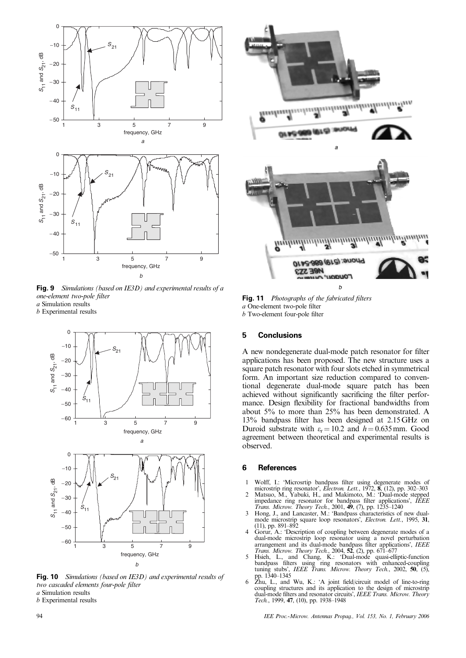

**Fig. 9** Simulations (based on IE3D) and experimental results of a one-element two-pole filter a Simulation results

b Experimental results



**Fig. 10** Simulations (based on IE3D) and experimental results of two cascaded elements four-pole filter a Simulation results

b Experimental results



**Fig. 11** Photographs of the fabricated filters a One-element two-pole filter b Two-element four-pole filter

## **5 Conclusions**

A new nondegenerate dual-mode patch resonator for filter applications has been proposed. The new structure uses a square patch resonator with four slots etched in symmetrical form. An important size reduction compared to conventional degenerate dual-mode square patch has been achieved without significantly sacrificing the filter performance. Design flexibility for fractional bandwidths from about 5% to more than 25% has been demonstrated. A 13% bandpass filter has been designed at 2.15 GHz on Duroid substrate with  $\varepsilon_r = 10.2$  and  $h = 0.635$  mm. Good agreement between theoretical and experimental results is observed.

## **6 References**

- 
- 1 Wolff, I.: 'Microsrtip bandpass filter using degenerate modes of microstrip ring resonator', *Electron. Lett.*, 1972, 8, (12), pp. 302–303<br>2 Matsuo, M., Yabuki, H., and Makimoto, M.: 'Dual-mode stepped<br>impedance ring res
- $(11)$ , pp. 891–892
- 4 Gorur, A.: 'Description of coupling between degenerate modes of a dual-mode microstrip loop resonator using a novel perturbation<br>arrangement and its dual-mode bandpass filter applications', IEEE<br>Trans. Microw. Theory Tech., 2004, 52, (2), pp. 671–677<br>5 Hsieh, L., and Chang, K.: 'Dual-mod
- bandpass filters using ring resonators with enhanced-coupling tuning stubs', IEEE Trans. Microw. Theory Tech., 2002, 50, (5),
- pp. 1340–1345 6 Zhu, L., and Wu, K.: 'A joint field/circuit model of line-to-ring coupling structures and its application to the design of microstrip dual-mode filters and resonator circuits', IEEE Trans. Microw. Theory Tech., 1999, 47, (10), pp. 1938–1948

94 IEE Proc.-Microw. Antennas Propag., Vol. 153, No. 1, February 2006